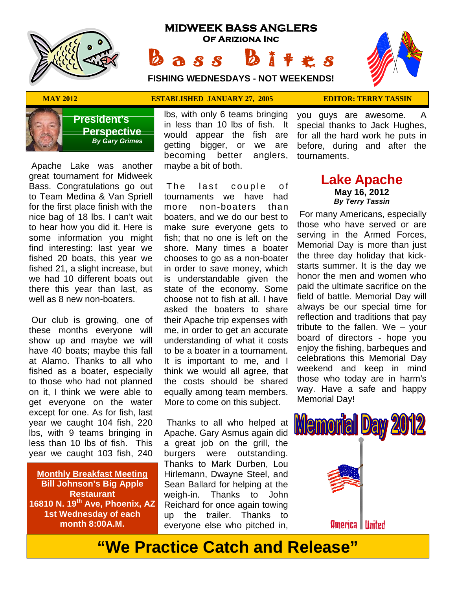

# **MIDWEEK BASS ANGLERS Of Ariziona Inc B a s s b** i t extends:<br>
B a s s b i t extends!

  $\mathbb{Z}$  $\overline{\mathcal{L}}$ 

**FISHING WEDNESDAYS - NOT WEEKENDS!**

#### **MAY 2012 ESTABLISHED JANUARY 27, 2005 EDITOR: TERRY TASSIN**

you guys are awesome. A special thanks to Jack Hughes,



**President's Perspective**  *By Gary Grimes*

 Apache Lake was another great tournament for Midweek Bass. Congratulations go out to Team Medina & Van Spriell for the first place finish with the nice bag of 18 lbs. I can't wait to hear how you did it. Here is some information you might find interesting: last year we fished 20 boats, this year we fished 21, a slight increase, but we had 10 different boats out there this year than last, as well as 8 new non-boaters.

 Our club is growing, one of these months everyone will show up and maybe we will have 40 boats; maybe this fall at Alamo. Thanks to all who fished as a boater, especially to those who had not planned on it, I think we were able to get everyone on the water except for one. As for fish, last year we caught 104 fish, 220 lbs, with 9 teams bringing in less than 10 lbs of fish. This year we caught 103 fish, 240

**Monthly Breakfast Meeting Bill Johnson's Big Apple Restaurant 16810 N. 19th Ave, Phoenix, AZ 1st Wednesday of each month 8:00A.M.**

lbs, with only 6 teams bringing in less than 10 lbs of fish. It would appear the fish are getting bigger, or we are becoming better anglers, maybe a bit of both. would appear the fish are folgetting bigger, or we are be<br>becoming better anglers, to<br>maybe a bit of both.<br>The last couple of<br>tournaments we have had

tournaments we have had more non-boaters than boaters, and we do our best to make sure everyone gets to fish; that no one is left on the shore. Many times a boater chooses to go as a non-boater in order to save money, which is understandable given the state of the economy. Some choose not to fish at all. I have asked the boaters to share their Apache trip expenses with me, in order to get an accurate understanding of what it costs to be a boater in a tournament. It is important to me, and I think we would all agree, that the costs should be shared equally among team members. More to come on this subject.

Apache. Gary Asmus again did a great job on the grill, the were outstanding. Thanks to Mark Durben, Lou Hirlemann, Dwayne Steel, and Sean Ballard for helping at the weigh-in. Thanks to John Reichard for once again towing up the trailer. Thanks to everyone else who pitched in,



### **Lake Apache May 16, 2012** *By Terry Tassin*

 For many Americans, especially those who have served or are serving in the Armed Forces, Memorial Day is more than just the three day holiday that kick starts summer. It is the day we honor the men and women who paid the ultimate sacrifice on the field of battle. Memorial Day will always be our special time for reflection and traditions that pay tribute to the fallen. We – your board of directors - hope you enjoy the fishing, barbeques and celebrations this Memorial Day weekend and keep in mind those who today are in harm's way. Have a safe and happy Memorial Day!



# **"We Practice Catch and Release"**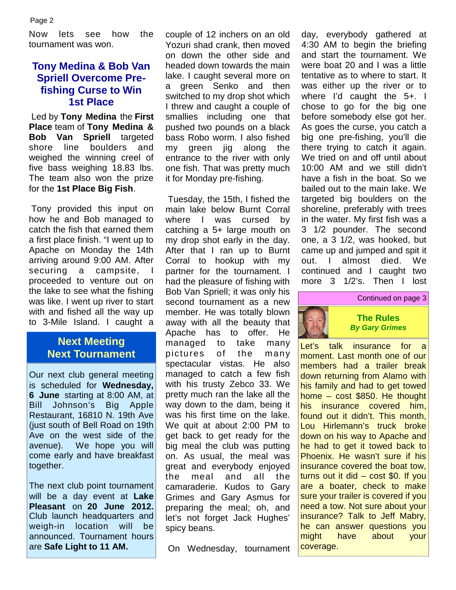Now lets see how the tournament was won.

## **Tony Medina & Bob Van Spriell Overcome Prefishing Curse to Win 1st Place**

 Led by **Tony Medina** the **First Place** team of **Tony Medina & Bob Van Spriell** targeted shore line boulders and my weighed the winning creel of five bass weighing 18.83 lbs. The team also won the prize for the **1st Place Big Fish**.

 Tony provided this input on how he and Bob managed to catch the fish that earned them a first place finish. "I went up to Apache on Monday the 14th arriving around 9:00 AM. After securing a campsite, proceeded to venture out on the lake to see what the fishing was like. I went up river to start with and fished all the way up to 3-Mile Island. I caught a

## **Next Meeting Next Tournament**

Our next club general meeting is scheduled for **Wednesday, 6 June** starting at 8:00 AM, at Bill Johnson's Big Apple Restaurant, 16810 N. 19th Ave (just south of Bell Road on 19th Ave on the west side of the avenue). We hope you will come early and have breakfast together.

The next club point tournament will be a day event at **Lake Pleasant** on **20 June 2012.** Club launch headquarters and weigh-in location will be announced. Tournament hours are **Safe Light to 11 AM.**

couple of 12 inchers on an old Yozuri shad crank, then moved on down the other side and headed down towards the main lake. I caught several more on a green Senko and then switched to my drop shot which I threw and caught a couple of smallies including one that pushed two pounds on a black bass Robo worm. I also fished green jig along the entrance to the river with only one fish. That was pretty much it for Monday pre-fishing.

 Tuesday, the 15th, I fished the main lake below Burnt Corral where I was cursed by catching a 5+ large mouth on my drop shot early in the day. After that I ran up to Burnt Corral to hookup with my partner for the tournament. I had the pleasure of fishing with Bob Van Spriell; it was only his second tournament as a new member. He was totally blown away with all the beauty that Apache has to offer. He managed to take many pictures of the many spectacular vistas. He also managed to catch a few fish with his trusty Zebco 33. We pretty much ran the lake all the way down to the dam, being it was his first time on the lake. We quit at about 2:00 PM to get back to get ready for the big meal the club was putting on. As usual, the meal was great and everybody enjoyed the meal and all the camaraderie. Kudos to Gary Grimes and Gary Asmus for preparing the meal; oh, and let's not forget Jack Hughes' spicy beans.

day, everybody gathered at 4:30 AM to begin the briefing and start the tournament. We were boat 20 and I was a little tentative as to where to start. It was either up the river or to where I'd caught the 5+. I chose to go for the big one before somebody else got her. As goes the curse, you catch a big one pre-fishing, you'll die there trying to catch it again. We tried on and off until about 10:00 AM and we still didn't have a fish in the boat. So we bailed out to the main lake. We targeted big boulders on the shoreline, preferably with trees in the water. My first fish was a 3 1/2 pounder. The second one, a 3 1/2, was hooked, but came up and jumped and spit it out. I almost died. We continued and I caught two more 3 1/2's. Then I lost



Let's talk insurance for a moment. Last month one of our members had a trailer break down returning from Alamo with his family and had to get towed home – cost \$850. He thought his insurance covered him, found out it didn't. This month, Lou Hirlemann's truck broke down on his way to Apache and he had to get it towed back to Phoenix. He wasn't sure if his insurance covered the boat tow, turns out it did  $-$  cost \$0. If you are a boater, check to make sure your trailer is covered if you need a tow. Not sure about your insurance? Talk to Jeff Mabry, he can answer questions you might have about your coverage.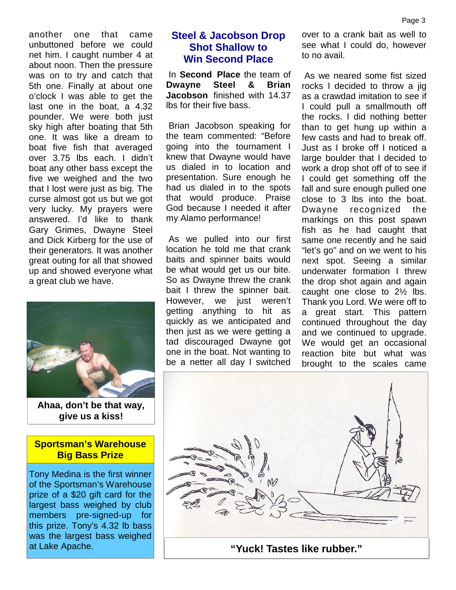another one that came unbuttoned before we could net him. I caught number 4 at about noon. Then the pressure was on to try and catch that 5th one. Finally at about one o'clock I was able to get the last one in the boat, a 4.32 pounder. We were both just sky high after boating that 5th one. It was like a dream to boat five fish that averaged over 3.75 lbs each. I didn't boat any other bass except the five we weighed and the two that I lost were just as big. The curse almost got us but we got very lucky. My prayers were answered. I'd like to thank Gary Grimes, Dwayne Steel and Dick Kirberg for the use of their generators. It was another great outing for all that showed up and showed everyone what a great club we have.



**Ahaa, don't be that way, give us a kiss!**

#### **Sportsman's Warehouse Big Bass Prize**

Tony Medina is the first winner of the Sportsman's Warehouse prize of a \$20 gift card for the largest bass weighed by club members pre-signed-up for this prize. Tony's 4.32 lb bass was the largest bass weighed at Lake Apache.

## **Steel & Jacobson Drop Shot Shallow to Win Second Place**

 In **Second Place** the team of **Dwayne Steel & Brian Jacobson** finished with 14.37 lbs for their five bass.

 Brian Jacobson speaking for the team commented: "Before going into the tournament I knew that Dwayne would have us dialed in to location and presentation. Sure enough he had us dialed in to the spots that would produce. Praise God because I needed it after my Alamo performance!

 As we pulled into our first location he told me that crank baits and spinner baits would be what would get us our bite. So as Dwayne threw the crank bait I threw the spinner bait. However, we just weren't getting anything to hit as quickly as we anticipated and then just as we were getting a tad discouraged Dwayne got one in the boat. Not wanting to be a netter all day I switched over to a crank bait as well to see what I could do, however to no avail.

 As we neared some fist sized rocks I decided to throw a jig as a crawdad imitation to see if I could pull a smallmouth off the rocks. I did nothing better than to get hung up within a few casts and had to break off. Just as I broke off I noticed a large boulder that I decided to work a drop shot off of to see if I could get something off the fall and sure enough pulled one close to 3 lbs into the boat. Dwayne recognized the markings on this post spawn fish as he had caught that same one recently and he said "let's go" and on we went to his next spot. Seeing a similar underwater formation I threw the drop shot again and again caught one close to 2½ lbs. Thank you Lord. We were off to a great start. This pattern continued throughout the day and we continued to upgrade. We would get an occasional reaction bite but what was brought to the scales came

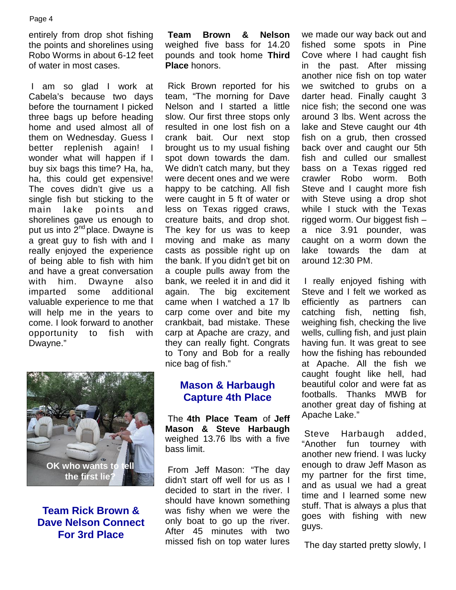entirely from drop shot fishing Team the points and shorelines using Robo Worms in about 6-12 feet of water in most cases.

 I am so glad I work at Cabela's because two days before the tournament I picked three bags up before heading home and used almost all of them on Wednesday. Guess I better replenish again! I wonder what will happen if I buy six bags this time? Ha, ha, ha, this could get expensive! The coves didn't give us a single fish but sticking to the main lake points and shorelines gave us enough to put us into 2<sup>nd</sup> place. Dwayne is a great guy to fish with and I really enjoyed the experience of being able to fish with him and have a great conversation with him. Dwayne also<br>imparted some additional imparted some valuable experience to me that will help me in the years to come. I look forward to another opportunity to fish with Dwayne."

**Team Brown & Nelson** weighed five bass for 14.20 pounds and took home **Third Place** honors.

 Rick Brown reported for his team, "The morning for Dave Nelson and I started a little slow. Our first three stops only resulted in one lost fish on a crank bait. Our next stop brought us to my usual fishing spot down towards the dam. We didn't catch many, but they were decent ones and we were happy to be catching. All fish were caught in 5 ft of water or less on Texas rigged craws, creature baits, and drop shot. The key for us was to keep moving and make as many casts as possible right up on the bank. If you didn't get bit on a couple pulls away from the bank, we reeled it in and did it again. The big excitement came when I watched a 17 lb carp come over and bite my crankbait, bad mistake. These carp at Apache are crazy, and they can really fight. Congrats to Tony and Bob for a really nice bag of fish."



**Team Rick Brown & Dave Nelson Connect For 3rd Place**

## **Mason & Harbaugh Capture 4th Place**

 The **4th Place Team** of **Jeff Mason & Steve Harbaugh** weighed 13.76 lbs with a five bass limit.

 From Jeff Mason: "The day didn't start off well for us as I decided to start in the river. I should have known something was fishy when we were the only boat to go up the river. After 45 minutes with two missed fish on top water lures

we made our way back out and fished some spots in Pine Cove where I had caught fish in the past. After missing another nice fish on top water we switched to grubs on a darter head. Finally caught 3 nice fish; the second one was around 3 lbs. Went across the lake and Steve caught our 4th fish on a grub, then crossed back over and caught our 5th fish and culled our smallest bass on a Texas rigged red crawler Robo worm. Both Steve and I caught more fish with Steve using a drop shot while I stuck with the Texas rigged worm. Our biggest fish – a nice 3.91 pounder, was caught on a worm down the lake towards the dam at around 12:30 PM.

 I really enjoyed fishing with Steve and I felt we worked as efficiently as partners can catching fish, netting fish, weighing fish, checking the live wells, culling fish, and just plain having fun. It was great to see how the fishing has rebounded at Apache. All the fish we caught fought like hell, had beautiful color and were fat as footballs. Thanks MWB for another great day of fishing at Apache Lake."

 Steve Harbaugh added, "Another fun tourney with another new friend. I was lucky enough to draw Jeff Mason as my partner for the first time, and as usual we had a great time and I learned some new stuff. That is always a plus that goes with fishing with new guys.

The day started pretty slowly, I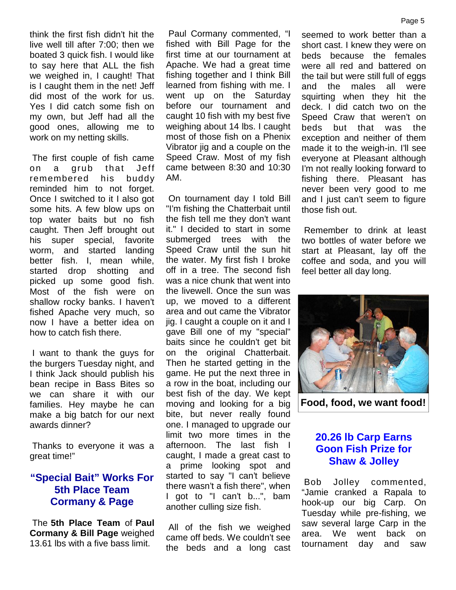think the first fish didn't hit the live well till after 7:00; then we boated 3 quick fish. I would like to say here that ALL the fish we weighed in, I caught! That is I caught them in the net! Jeff did most of the work for us. Yes I did catch some fish on my own, but Jeff had all the good ones, allowing me to work on my netting skills.

 The first couple of fish came on a grub that Jeff remembered his buddy reminded him to not forget. Once I switched to it I also got some hits. A few blow ups on top water baits but no fish caught. Then Jeff brought out his super special, favorite worm, and started landing better fish. I, mean while, started drop shotting and picked up some good fish. Most of the fish were on shallow rocky banks. I haven't fished Apache very much, so now I have a better idea on how to catch fish there.

 I want to thank the guys for the burgers Tuesday night, and I think Jack should publish his bean recipe in Bass Bites so we can share it with our families. Hey maybe he can make a big batch for our next awards dinner?

 Thanks to everyone it was a great time!"

## **"Special Bait" Works For 5th Place Team Cormany & Page**

 The **5th Place Team** of **Paul Cormany & Bill Page** weighed 13.61 lbs with a five bass limit.

 Paul Cormany commented, "I fished with Bill Page for the first time at our tournament at Apache. We had a great time fishing together and I think Bill learned from fishing with me. I went up on the Saturday before our tournament and caught 10 fish with my best five weighing about 14 lbs. I caught most of those fish on a Phenix Vibrator jig and a couple on the Speed Craw. Most of my fish came between 8:30 and 10:30 AM.

 On tournament day I told Bill "I'm fishing the Chatterbait until the fish tell me they don't want it." I decided to start in some submerged trees with the Speed Craw until the sun hit the water. My first fish I broke off in a tree. The second fish was a nice chunk that went into the livewell. Once the sun was up, we moved to a different area and out came the Vibrator jig. I caught a couple on it and I gave Bill one of my "special" baits since he couldn't get bit on the original Chatterbait. Then he started getting in the game. He put the next three in a row in the boat, including our best fish of the day. We kept moving and looking for a big bite, but never really found one. I managed to upgrade our limit two more times in the afternoon. The last fish I caught, I made a great cast to a prime looking spot and started to say "I can't believe there wasn't a fish there", when I got to "I can't b...", bam another culling size fish.

 All of the fish we weighed came off beds. We couldn't see the beds and a long cast

seemed to work better than a short cast. I knew they were on beds because the females were all red and battered on the tail but were still full of eggs and the males all were squirting when they hit the deck. I did catch two on the Speed Craw that weren't on beds but that was the exception and neither of them made it to the weigh-in. I'll see everyone at Pleasant although I'm not really looking forward to fishing there. Pleasant has never been very good to me and I just can't seem to figure those fish out.

 Remember to drink at least two bottles of water before we start at Pleasant, lay off the coffee and soda, and you will feel better all day long.



**Food, food, we want food!**

## **20.26 lb Carp Earns Goon Fish Prize for Shaw & Jolley**

Jolley commented, "Jamie cranked a Rapala to hook-up our big Carp. On Tuesday while pre-fishing, we saw several large Carp in the area. We went back on tournament day and saw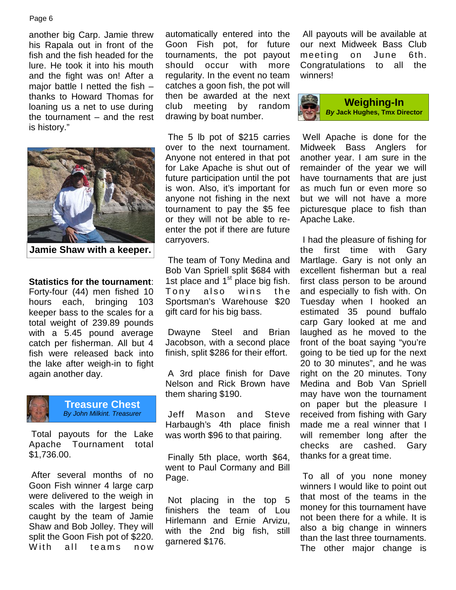#### Page 6

another big Carp. Jamie threw his Rapala out in front of the fish and the fish headed for the lure. He took it into his mouth and the fight was on! After a major battle I netted the fish – thanks to Howard Thomas for loaning us a net to use during the tournament – and the rest is history."



**Jamie Shaw with a keeper.**

**Statistics for the tournament**: 1st place<br>Forty-four (44) men fished 10 Tony Forty-four (44) men fished 10 hours each, bringing 103 keeper bass to the scales for a total weight of 239.89 pounds with a 5.45 pound average catch per fisherman. All but 4 fish were released back into the lake after weigh-in to fight again another day.



**Treasure Chest** *By John Milkint. Treasurer*

 Total payouts for the Lake Apache Tournament total \$1,736.00.

 After several months of no Goon Fish winner 4 large carp were delivered to the weigh in scales with the largest being caught by the team of Jamie Shaw and Bob Jolley. They will split the Goon Fish pot of \$220. were delivered to the weigh in<br>
scales with the largest being<br>
caught by the team of Jamie<br>
Shaw and Bob Jolley. They will<br>
split the Goon Fish pot of \$220.<br>
With all teams now<br>
darnered<br>
Shaw ith all teams now

automatically entered into the Goon Fish pot, for future tournaments, the pot payout should occur with more regularity. In the event no team catches a goon fish, the pot will then be awarded at the next club meeting by random drawing by boat number.

 The 5 lb pot of \$215 carries over to the next tournament. Anyone not entered in that pot for Lake Apache is shut out of future participation until the pot is won. Also, it's important for anyone not fishing in the next tournament to pay the \$5 fee or they will not be able to re enter the pot if there are future carryovers.

 The team of Tony Medina and Bob Van Spriell split \$684 with 1st place and  $1<sup>st</sup>$  place big fish. fir carryovers.<br>
The team of Tony Medina and Martla<br>
Bob Van Spriell split \$684 with excelle<br>
1st place and 1<sup>st</sup> place big fish. first cla<br>
Tony also wins the and es<br>
Sportsman's Warehouse \$20 Tuesda<br>
estimated for his big ba Sportsman's Warehouse \$20 gift card for his big bass.

 Dwayne Steel and Brian Jacobson, with a second place finish, split \$286 for their effort.

 A 3rd place finish for Dave Nelson and Rick Brown have them sharing \$190.

 Jeff Mason and Steve Harbaugh's 4th place finish was worth \$96 to that pairing.

 Finally 5th place, worth \$64, went to Paul Cormany and Bill Page.

 Not placing in the top 5 finishers the team of Lou Hirlemann and Ernie Arvizu, with the 2nd big fish, still garnered \$176.

 All payouts will be available at our next Midweek Bass Club meeting on June 6th. Congratulations to all the winners!



 Well Apache is done for the Midweek Bass Anglers for another year. I am sure in the remainder of the year we will have tournaments that are just as much fun or even more so but we will not have a more picturesque place to fish than Apache Lake.

 I had the pleasure of fishing for the first time with Gary Martlage. Gary is not only an excellent fisherman but a real first class person to be around and especially to fish with. On Tuesday when I hooked an estimated 35 pound buffalo carp Gary looked at me and laughed as he moved to the front of the boat saying "you're going to be tied up for the next 20 to 30 minutes", and he was right on the 20 minutes. Tony Medina and Bob Van Spriell may have won the tournament on paper but the pleasure I received from fishing with Gary made me a real winner that I will remember long after the checks are cashed. Gary thanks for a great time.

 To all of you none money winners I would like to point out that most of the teams in the money for this tournament have not been there for a while. It is also a big change in winners than the last three tournaments. The other major change is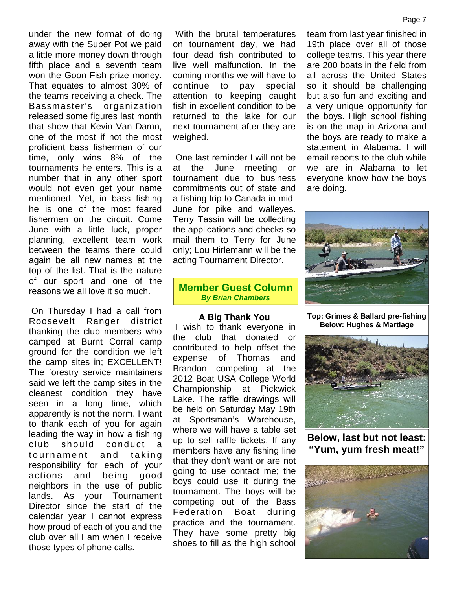under the new format of doing away with the Super Pot we paid a little more money down through fifth place and a seventh team won the Goon Fish prize money. That equates to almost 30% of the teams receiving a check. The Bassmaster's organization released some figures last month that show that Kevin Van Damn, one of the most if not the most proficient bass fisherman of our time, only wins 8% of the tournaments he enters. This is a number that in any other sport would not even get your name mentioned. Yet, in bass fishing he is one of the most feared fishermen on the circuit. Come June with a little luck, proper planning, excellent team work between the teams there could again be all new names at the top of the list. That is the nature of our sport and one of the reasons we all love it so much.

 On Thursday I had a call from Roosevelt Ranger district thanking the club members who camped at Burnt Corral camp ground for the condition we left the camp sites in; EXCELLENT! The forestry service maintainers said we left the camp sites in the cleanest condition they have seen in a long time, which apparently is not the norm. I want to thank each of you for again leading the way in how a fishing club should conduct a seen in a long time, which apparently is not the norm. I want<br>to thank each of you for again at Sp<br>leading the way in how a fishing where<br>club should conduct a up to<br>tournament and taking memb<br>responsibility for each of yo responsibility for each of your actions and being good neighbors in the use of public lands. As your Tournament Director since the start of the calendar year I cannot express how proud of each of you and the club over all I am when I receive those types of phone calls.

 With the brutal temperatures on tournament day, we had four dead fish contributed to live well malfunction. In the coming months we will have to continue to pay special attention to keeping caught fish in excellent condition to be returned to the lake for our next tournament after they are weighed.

 One last reminder I will not be at the June meeting or tournament due to business commitments out of state and a fishing trip to Canada in mid- June for pike and walleyes. Terry Tassin will be collecting the applications and checks so mail them to Terry for June only; Lou Hirlemann will be the acting Tournament Director.

#### **Member Guest Column** *By Brian Chambers*

#### **A Big Thank You**

 I wish to thank everyone in the club that donated or contributed to help offset the expense of Thomas and Brandon competing at the 2012 Boat USA College World Championship at Pickwick Lake. The raffle drawings will be held on Saturday May 19th at Sportsman's Warehouse, where we will have a table set up to sell raffle tickets. If any members have any fishing line that they don't want or are not going to use contact me; the boys could use it during the tournament. The boys will be competing out of the Bass Federation Boat during practice and the tournament. They have some pretty big shoes to fill as the high school team from last year finished in 19th place over all of those college teams. This year there are 200 boats in the field from all across the United States so it should be challenging but also fun and exciting and a very unique opportunity for the boys. High school fishing is on the map in Arizona and the boys are ready to make a statement in Alabama. I will email reports to the club while we are in Alabama to let everyone know how the boys are doing.



**Top: Grimes & Ballard pre-fishing Below: Hughes & Martlage**



**Below, last but not least: "Yum, yum fresh meat!"**



#### Page 7